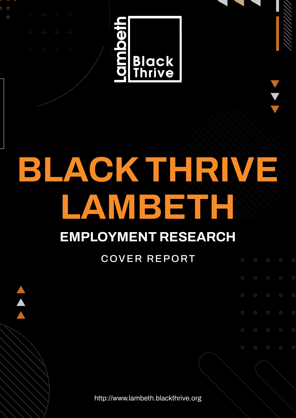$\circ$  $\circ$ 



## **BLACK THRIVE LAMBETH**

### **EMPLOYMENT RESEARCH**

#### COVER REPORT

 $\Box$ 

 $\Box$ 

 $\Box$ 

 $\Box$ 

 $\Box$ 

 $\Box$ 

 $\Box$ 

 $\Box$ 

 $\Box$ 

 $\Box$ 

п

 $\Box$ 

 $\Box$ 

Π

П

http://www.lambeth.blackthrive.org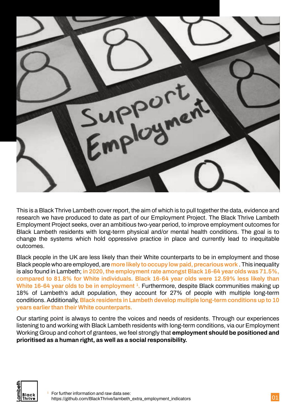

This is a Black Thrive Lambeth cover report, the aim of which is to pull together the data, evidence and research we have produced to date as part of our Employment Project. The Black Thrive Lambeth Employment Project seeks, over an ambitious two-year period, to improve employment outcomes for Black Lambeth residents with long-term physical and/or mental health conditions. The goal is to change the systems which hold oppressive practice in place and currently lead to inequitable outcomes.

Black people in the UK are less likely than their White counterparts to be in employment and those Black people who are employed, are **[more likely to occupy low paid, precarious work](https://www.tuc.org.uk/research-analysis/reports/dying-job-racism-and-risk-work)** . This inequality is also found in Lambeth; **in 2020, the employment rate amongst Black 16-64 year olds was 71.5%, [compared to 81.8% for White individuals. Black 16-64 year olds were 12.59% less likely than](https://lambeth.blackthrive.org/wp-content/uploads/2021/12/Black-Thrive-Lambeth-SMS1.pdf)**  White 16-64 year olds to be in employment <sup>1</sup>. Furthermore, despite Black communities making up 18% of Lambeth's adult population, they account for 27% of people with multiple long-term conditions. Additionally, **[Black residents in Lambeth develop multiple long-term conditions up to 10](https://urbanhealth.org.uk/insights/reports/from-one-to-many)  years earlier than their White counterparts.**

Our starting point is always to centre the voices and needs of residents. Through our experiences listening to and working with Black Lambeth residents with long-term conditions, via our Employment Working Group and cohort of grantees, we feel strongly that **employment should be positioned and prioritised as a human right, as well as a social responsibility.**

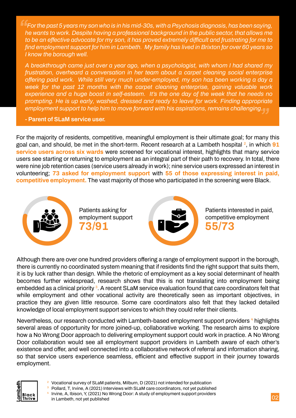*For the past 5 years my son who is in his mid-30s, with a Psychosis diagnosis, has been saying, he wants to work. Despite having a professional background in the public sector, that allows me to be an effective advocate for my son, it has proved extremely difficult and frustrating for me to find employment support for him in Lambeth. My family has lived in Brixton for over 60 years so I know the borough well.*

*A breakthrough came just over a year ago, when a psychologist, with whom I had shared my frustration, overheard a conversation in her team about a carpet cleaning social enterprise offering paid work. While still very much under-employed, my son has been working a day a week for the past 12 months with the carpet cleaning enterprise, gaining valuable work experience and a huge boost in self-esteem. It's the one day of the week that he needs no prompting. He is up early, washed, dressed and ready to leave for work. Finding appropriate employment support to help him to move forward with his aspirations, remains challenging.*

**- Parent of SLaM service user.** 

For the majority of residents, competitive, meaningful employment is their ultimate goal; for many this goal can, and should, be met in the short-term. Recent research at a Lambeth hospital <sup>2</sup> , in which **91 service users across six wards** were screened for vocational interest, highlights that many service users see starting or returning to employment as an integral part of their path to recovery. In total, there were nine job retention cases (service users already in work); nine service users expressed an interest in volunteering; **73 asked for employment support** with **55 of those expressing interest in paid, competitive employment.** The vast majority of those who participated in the screening were Black.



Although there are over one hundred providers offering a range of employment support in the borough, there is currently no coordinated system meaning that if residents find the right support that suits them, it is by luck rather than design. While the rhetoric of employment as a key social determinant of health becomes further widespread, research shows that this is not translating into employment being embedded as a clinical priority<sup>3</sup>. A recent SLaM service evaluation found that care coordinators felt that while employment and other vocational activity are theoretically seen as important objectives, in practice they are given little resource. Some care coordinators also felt that they lacked detailed knowledge of local employment support services to which they could refer their clients.

Nevertheless, our research conducted with Lambeth-based employment support providers <sup>4</sup> highlights several areas of opportunity for more joined-up, collaborative working. The research aims to explore how a No Wrong Door approach to delivering employment support could work in practice. A No Wrong Door collaboration would see all employment support providers in Lambeth aware of each other's existence and offer, and well connected into a collaborative network of referral and information sharing, so that service users experience seamless, efficient and effective support in their journey towards employment.



Pollard, T, Irvine, A (2021) Interviews with SLaM care coordinators, not yet published 4 Irvine, A, Ibison, Y, (2021) No Wrong Door: A study of employment support providers in Lambeth, not yet published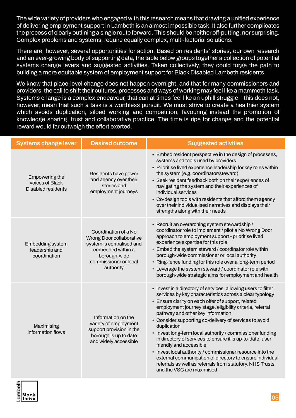The wide variety of providers who engaged with this research means that drawing a unified experience of delivering employment support in Lambeth is an almost impossible task. It also further complicates the process of clearly outlining a single route forward. This should be neither off-putting, nor surprising. Complex problems and systems, require equally complex, multi-factorial solutions.

There are, however, several opportunities for action. Based on residents' stories, our own research and an ever-growing body of supporting data, the table below groups together a collection of potential systems change levers and suggested activities. Taken collectively, they could forge the path to building a more equitable system of employment support for Black Disabled Lambeth residents.

We know that place-level change does not happen overnight, and that for many commissioners and providers, the call to shift their cultures, processes and ways of working may feel like a mammoth task. Systems change is a complex endeavour, that can at times feel like an uphill struggle – this does not, however, mean that such a task is a worthless pursuit. We must strive to create a healthier system which avoids duplication, siloed working and competition, favouring instead the promotion of knowledge sharing, trust and collaborative practice. The time is ripe for change and the potential reward would far outweigh the effort exerted.

| <b>Systems change lever</b>                                    | <b>Desired outcome</b>                                                                                                                                   | <b>Suggested activities</b>                                                                                                                                                                                                                                                                                                                                                                                                                                                                                                                                                                                                                                                                                                      |
|----------------------------------------------------------------|----------------------------------------------------------------------------------------------------------------------------------------------------------|----------------------------------------------------------------------------------------------------------------------------------------------------------------------------------------------------------------------------------------------------------------------------------------------------------------------------------------------------------------------------------------------------------------------------------------------------------------------------------------------------------------------------------------------------------------------------------------------------------------------------------------------------------------------------------------------------------------------------------|
| Empowering the<br>voices of Black<br><b>Disabled residents</b> | Residents have power<br>and agency over their<br>stories and<br>employment journeys                                                                      | • Embed resident perspective in the design of processes,<br>systems and tools used by providers<br>• Prioritise lived experience leadership for key roles within<br>the system (e.g. coordinator/steward)<br>• Seek resident feedback both on their experiences of<br>navigating the system and their experiences of<br>individual services<br>• Co-design tools with residents that afford them agency<br>over their individualised narratives and displays their<br>strengths along with their needs                                                                                                                                                                                                                           |
| <b>Embedding system</b><br>leadership and<br>coordination      | Coordination of a No<br>Wrong Door collaborative<br>system is centralised and<br>embedded within a<br>borough-wide<br>commissioner or local<br>authority | • Recruit an overarching system stewardship /<br>coordinator role to implement / pilot a No Wrong Door<br>approach to employment support - prioritise lived<br>experience expertise for this role<br>• Embed the system steward / coordinator role within<br>borough-wide commissioner or local authority<br>• Ring-fence funding for this role over a long-term period<br>• Leverage the system steward / coordinator role with<br>borough-wide strategic aims for employment and health                                                                                                                                                                                                                                        |
| Maximising<br>information flows                                | Information on the<br>variety of employment<br>support provision in the<br>borough is up to date<br>and widely accessible                                | • Invest in a directory of services, allowing users to filter<br>services by key characteristics across a clear typology<br>• Ensure clarity on each offer of support, related<br>employment journey stage, eligibility criteria, referral<br>pathway and other key information<br>• Consider supporting co-delivery of services to avoid<br>duplication<br>• Invest long-term local authority / commissioner funding<br>in directory of services to ensure it is up-to-date, user<br>friendly and accessible<br>• Invest local authority / commissioner resource into the<br>external communication of directory to ensure individual<br>referrals as well as referrals from statutory, NHS Trusts<br>and the VSC are maximised |

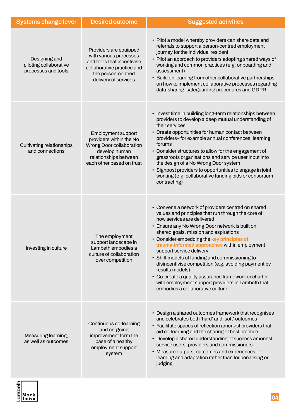| <b>Systems change lever</b>                                    | <b>Desired outcome</b>                                                                                                                                     | <b>Suggested activities</b>                                                                                                                                                                                                                                                                                                                                                                                                                                                                                                                                                                                                               |
|----------------------------------------------------------------|------------------------------------------------------------------------------------------------------------------------------------------------------------|-------------------------------------------------------------------------------------------------------------------------------------------------------------------------------------------------------------------------------------------------------------------------------------------------------------------------------------------------------------------------------------------------------------------------------------------------------------------------------------------------------------------------------------------------------------------------------------------------------------------------------------------|
| Designing and<br>piloting collaborative<br>processes and tools | Providers are equipped<br>with various processes<br>and tools that incentivise<br>collaborative practice and<br>the person-centred<br>delivery of services | • Pilot a model whereby providers can share data and<br>referrals to support a person-centred employment<br>journey for the individual resident<br>• Pilot an approach to providers adopting shared ways of<br>working and common practices (e.g. onboarding and<br>assessment)<br>• Build on learning from other collaborative partnerships<br>on how to implement collaborative processes regarding<br>data-sharing, safeguarding procedures and GDPR                                                                                                                                                                                   |
| Cultivating relationships<br>and connections                   | <b>Employment support</b><br>providers within the No<br>Wrong Door collaboration<br>develop human<br>relationships between<br>each other based on trust    | • Invest time in building long-term relationships between<br>providers to develop a deep mutual understanding of<br>their services<br>• Create opportunities for human contact between<br>providers-for example annual conferences, learning<br>forums<br>• Consider structures to allow for the engagement of<br>grassroots organisations and service user input into<br>the design of a No Wrong Door system<br>• Signpost providers to opportunities to engage in joint<br>working (e.g. collaborative funding bids or consortium<br>contracting)                                                                                      |
| Investing in culture                                           | The employment<br>support landscape in<br>Lambeth embodies a<br>culture of collaboration<br>over competition                                               | • Convene a network of providers centred on shared<br>values and principles that run through the core of<br>how services are delivered<br>• Ensure any No Wrong Door network is built on<br>shared goals, mission and aspirations<br>• Consider embedding the key principles of<br>trauma-informed approaches within employment<br>support service delivery<br>• Shift models of funding and commissioning to<br>disincentivise competition (e.g. avoiding payment by<br>results models)<br>• Co-create a quality assurance framework or charter<br>with employment support providers in Lambeth that<br>embodies a collaborative culture |
| Measuring learning,<br>as well as outcomes                     | Continuous co-learning<br>and on-going<br>improvement form the<br>base of a healthy<br>employment support<br>system                                        | • Design a shared outcomes framework that recognises<br>and celebrates both 'hard' and 'soft' outcomes<br>• Facilitate spaces of reflection amongst providers that<br>aid co-learning and the sharing of best practice<br>• Develop a shared understanding of success amongst<br>service users, providers and commissioners<br>• Measure outputs, outcomes and experiences for<br>learning and adaptation rather than for penalising or<br>judging                                                                                                                                                                                        |

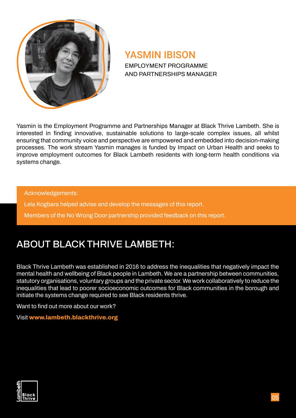

#### YASMIN IBISON

EMPLOYMENT PROGRAMME AND PARTNERSHIPS MANAGER

Yasmin is the Employment Programme and Partnerships Manager at Black Thrive Lambeth. She is interested in finding innovative, sustainable solutions to large-scale complex issues, all whilst ensuring that community voice and perspective are empowered and embedded into decision-making processes. The work stream Yasmin manages is funded by Impact on Urban Health and seeks to improve employment outcomes for Black Lambeth residents with long-term health conditions via systems change.

Acknowledgements:

Lela Kogbara helped advise and develop the messages of this report. Members of the No Wrong Door partnership provided feedback on this report.

#### ABOUT BLACK THRIVE LAMBETH:

Black Thrive Lambeth was established in 2016 to address the inequalities that negatively impact the mental health and wellbeing of Black people in Lambeth. We are a partnership between communities, statutory organisations, voluntary groups and the private sector. We work collaboratively to reduce the inequalities that lead to poorer socioeconomic outcomes for Black communities in the borough and initiate the systems change required to see Black residents thrive.

Want to find out more about our work?

Visit **www.lambeth.blackthrive.org**